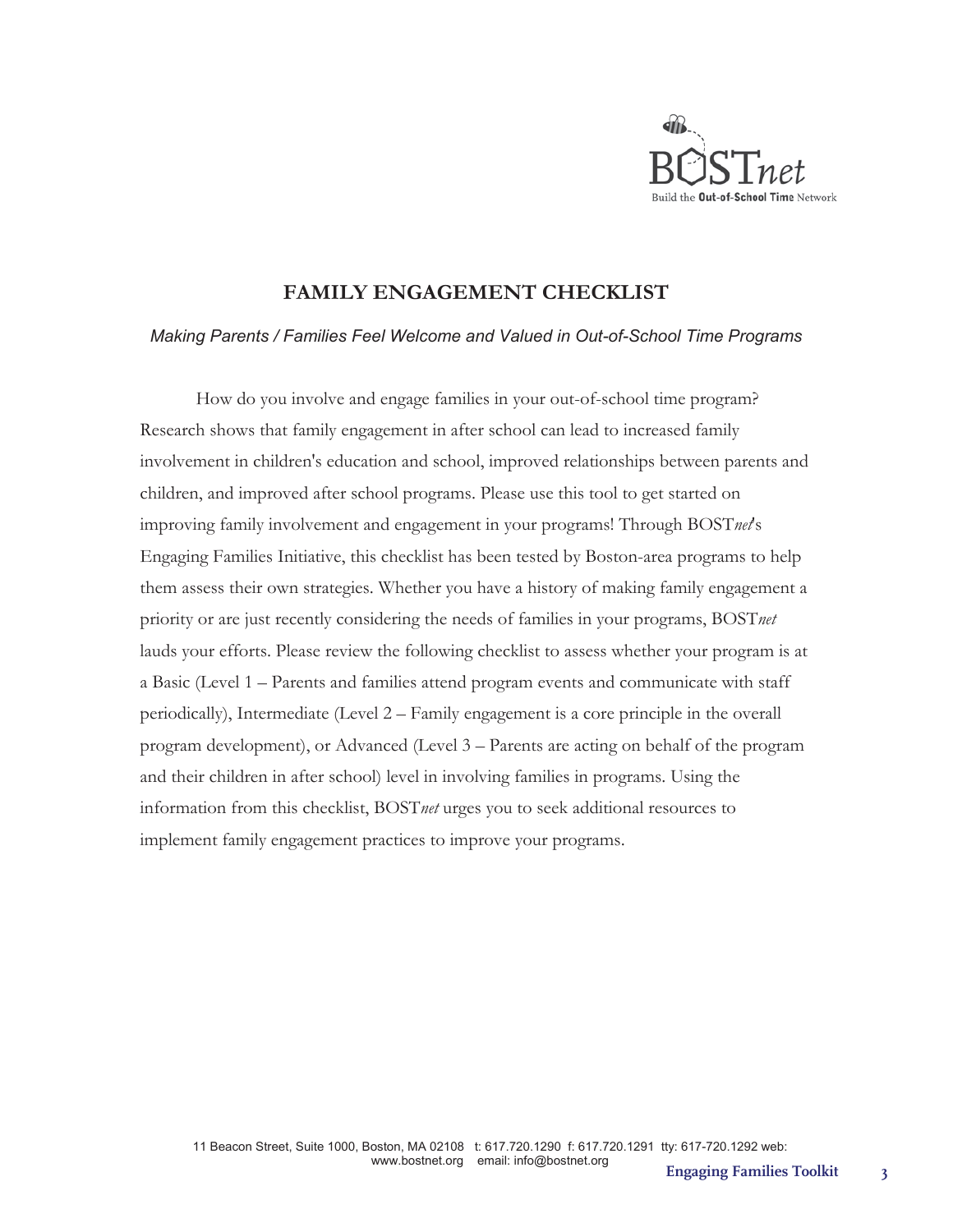

## **FAMILY ENGAGEMENT CHECKLIST**

### *Making Parents / Families Feel Welcome and Valued in Out-of-School Time Programs*

How do you involve and engage families in your out-of-school time program? Research shows that family engagement in after school can lead to increased family involvement in children's education and school, improved relationships between parents and children, and improved after school programs. Please use this tool to get started on improving family involvement and engagement in your programs! Through BOST*net*'s Engaging Families Initiative, this checklist has been tested by Boston-area programs to help them assess their own strategies. Whether you have a history of making family engagement a priority or are just recently considering the needs of families in your programs, BOST*net* lauds your efforts. Please review the following checklist to assess whether your program is at a Basic (Level 1 – Parents and families attend program events and communicate with staff periodically), Intermediate (Level 2 – Family engagement is a core principle in the overall program development), or Advanced (Level 3 – Parents are acting on behalf of the program and their children in after school) level in involving families in programs. Using the information from this checklist, BOST*net* urges you to seek additional resources to implement family engagement practices to improve your programs.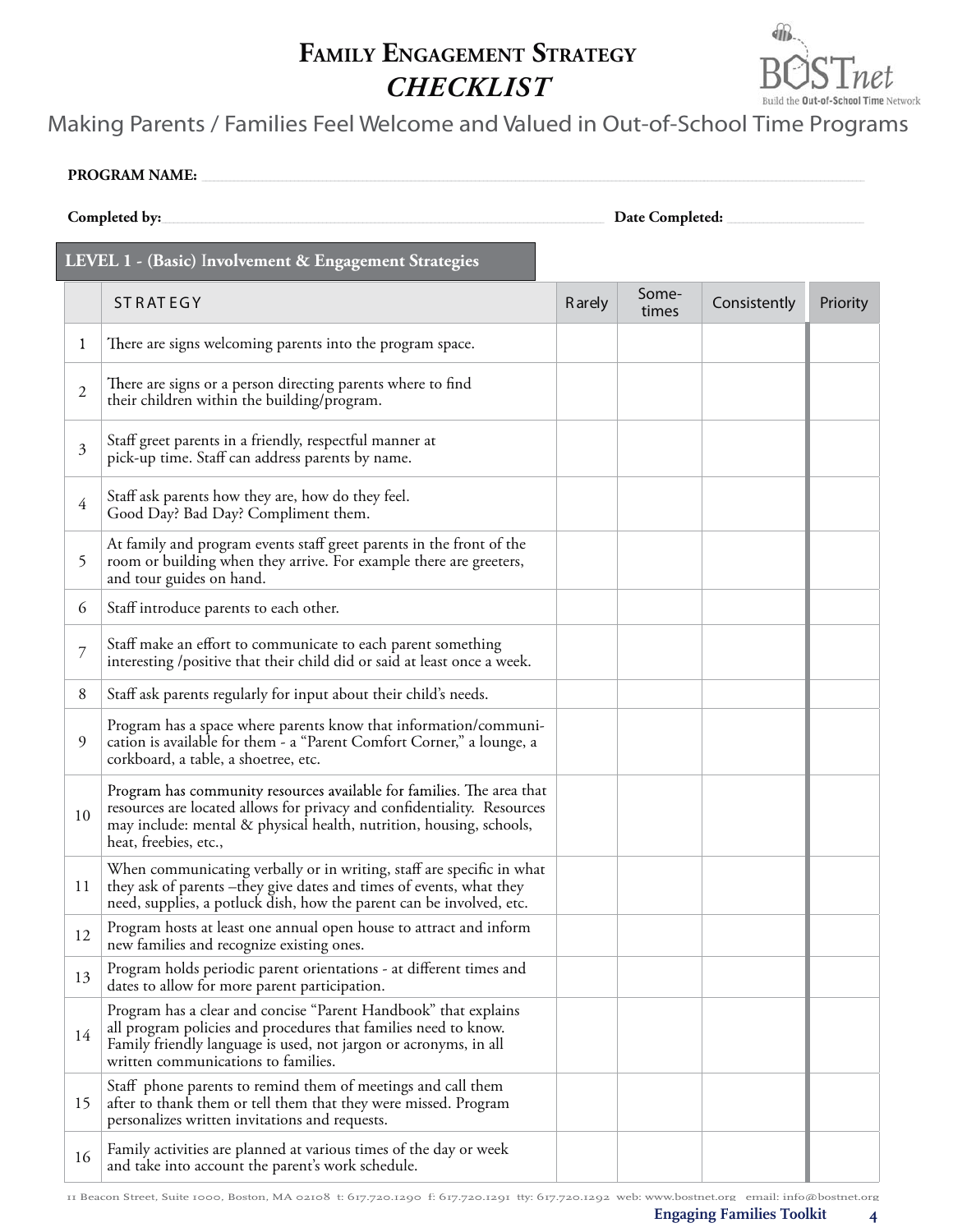# **FAMILY ENGAGEMENT STRATEGY** *CHECKLIST*



# *Making Parents / Families Feel Welcome and Valued in Out-of-School Time Programs*

#### PROGRAM NAME:

| Completed by:                                         |                                                                                                                                                                                                                                                  | Date Completed: |                |              |          |  |
|-------------------------------------------------------|--------------------------------------------------------------------------------------------------------------------------------------------------------------------------------------------------------------------------------------------------|-----------------|----------------|--------------|----------|--|
| LEVEL 1 - (Basic) Involvement & Engagement Strategies |                                                                                                                                                                                                                                                  |                 |                |              |          |  |
|                                                       | <b>STRATEGY</b>                                                                                                                                                                                                                                  | <b>R</b> arely  | Some-<br>times | Consistently | Priority |  |
| 1                                                     | There are signs welcoming parents into the program space.                                                                                                                                                                                        |                 |                |              |          |  |
| $\mathfrak{2}$                                        | There are signs or a person directing parents where to find<br>their children within the building/program.                                                                                                                                       |                 |                |              |          |  |
| 3                                                     | Staff greet parents in a friendly, respectful manner at<br>pick-up time. Staff can address parents by name.                                                                                                                                      |                 |                |              |          |  |
| $\overline{4}$                                        | Staff ask parents how they are, how do they feel.<br>Good Day? Bad Day? Compliment them.                                                                                                                                                         |                 |                |              |          |  |
| 5                                                     | At family and program events staff greet parents in the front of the<br>room or building when they arrive. For example there are greeters,<br>and tour guides on hand.                                                                           |                 |                |              |          |  |
| 6                                                     | Staff introduce parents to each other.                                                                                                                                                                                                           |                 |                |              |          |  |
| $\overline{7}$                                        | Staff make an effort to communicate to each parent something<br>interesting /positive that their child did or said at least once a week.                                                                                                         |                 |                |              |          |  |
| 8                                                     | Staff ask parents regularly for input about their child's needs.                                                                                                                                                                                 |                 |                |              |          |  |
| 9                                                     | Program has a space where parents know that information/communi-<br>cation is available for them - a "Parent Comfort Corner," a lounge, a<br>corkboard, a table, a shoetree, etc.                                                                |                 |                |              |          |  |
| 10                                                    | Program has community resources available for families. The area that<br>resources are located allows for privacy and confidentiality. Resources<br>may include: mental & physical health, nutrition, housing, schools,<br>heat, freebies, etc., |                 |                |              |          |  |
| 11                                                    | When communicating verbally or in writing, staff are specific in what<br>they ask of parents -they give dates and times of events, what they<br>need, supplies, a potluck dish, how the parent can be involved, etc.                             |                 |                |              |          |  |
| 12                                                    | Program hosts at least one annual open house to attract and inform<br>new families and recognize existing ones.                                                                                                                                  |                 |                |              |          |  |
| 13                                                    | Program holds periodic parent orientations - at different times and<br>dates to allow for more parent participation.                                                                                                                             |                 |                |              |          |  |
| 14                                                    | Program has a clear and concise "Parent Handbook" that explains<br>all program policies and procedures that families need to know.<br>Family friendly language is used, not jargon or acronyms, in all<br>written communications to families.    |                 |                |              |          |  |
| 15                                                    | Staff phone parents to remind them of meetings and call them<br>after to thank them or tell them that they were missed. Program<br>personalizes written invitations and requests.                                                                |                 |                |              |          |  |
| 16                                                    | Family activities are planned at various times of the day or week<br>and take into account the parent's work schedule.                                                                                                                           |                 |                |              |          |  |

11 Beacon Street, Suite 1000, Boston, MA 02108 t: 617.720.1290 f: 617.720.1291 tty: 617.720.1292 web: www.bostnet.org email: info@bostnet.org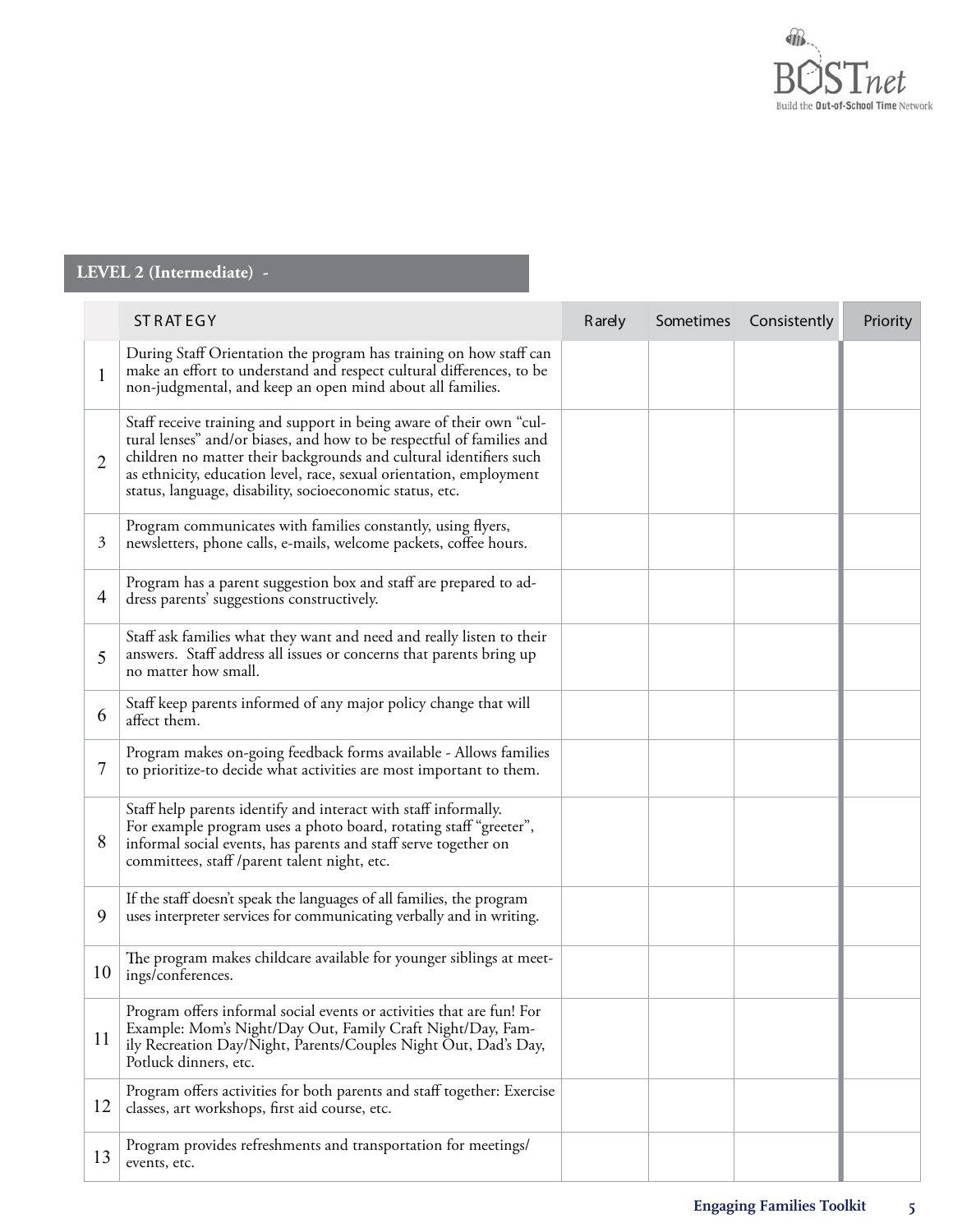

### **LEVEL 2 (Intermediate) - ST RAT EGY Rarely Sometimes Consistently Priority** 1 During Staff Orientation the program has training on how staff can make an effort to understand and respect cultural differences, to be non-judgmental, and keep an open mind about all families. 2 Staff receive training and support in being aware of their own "cultural lenses" and/or biases, and how to be respectful of families and children no matter their backgrounds and cultural identifiers such as ethnicity, education level, race, sexual orientation, employment status, language, disability, socioeconomic status, etc. 3 Program communicates with families constantly, using flyers, newsletters, phone calls, e-mails, welcome packets, coffee hours.  $\vert$  Program has a parent suggestion box and staff are prepared to address parents' suggestions constructively. dress parents' suggestions constructively. 5 Staff ask families what they want and need and really listen to their answers. Staff address all issues or concerns that parents bring up no matter how small. 6 Staff keep parents informed of any major policy change that will affect them. 7 Program makes on-going feedback forms available - Allows families to prioritize-to decide what activities are most important to them. 8 Staff help parents identify and interact with staff informally. For example program uses a photo board, rotating staff "greeter", informal social events, has parents and staff serve together on committees, staff /parent talent night, etc. 9 If the staff doesn't speak the languages of all families, the program uses interpreter services for communicating verbally and in writing.  $10<sup>10</sup>$  The program makes childcare available for younger siblings at meetings/conferences. 11 Program offers informal social events or activities that are fun! For Example: Mom's Night/Day Out, Family Craft Night/Day, Family Recreation Day/Night, Parents/Couples Night Out, Dad's Day, Potluck dinners, etc. Program offers activities for both parents and staff together: Exercise<br>12 classes, art workshops, first aid course, etc classes, art workshops, first aid course, etc. 13 Program provides refreshments and transportation for meetings/ events, etc.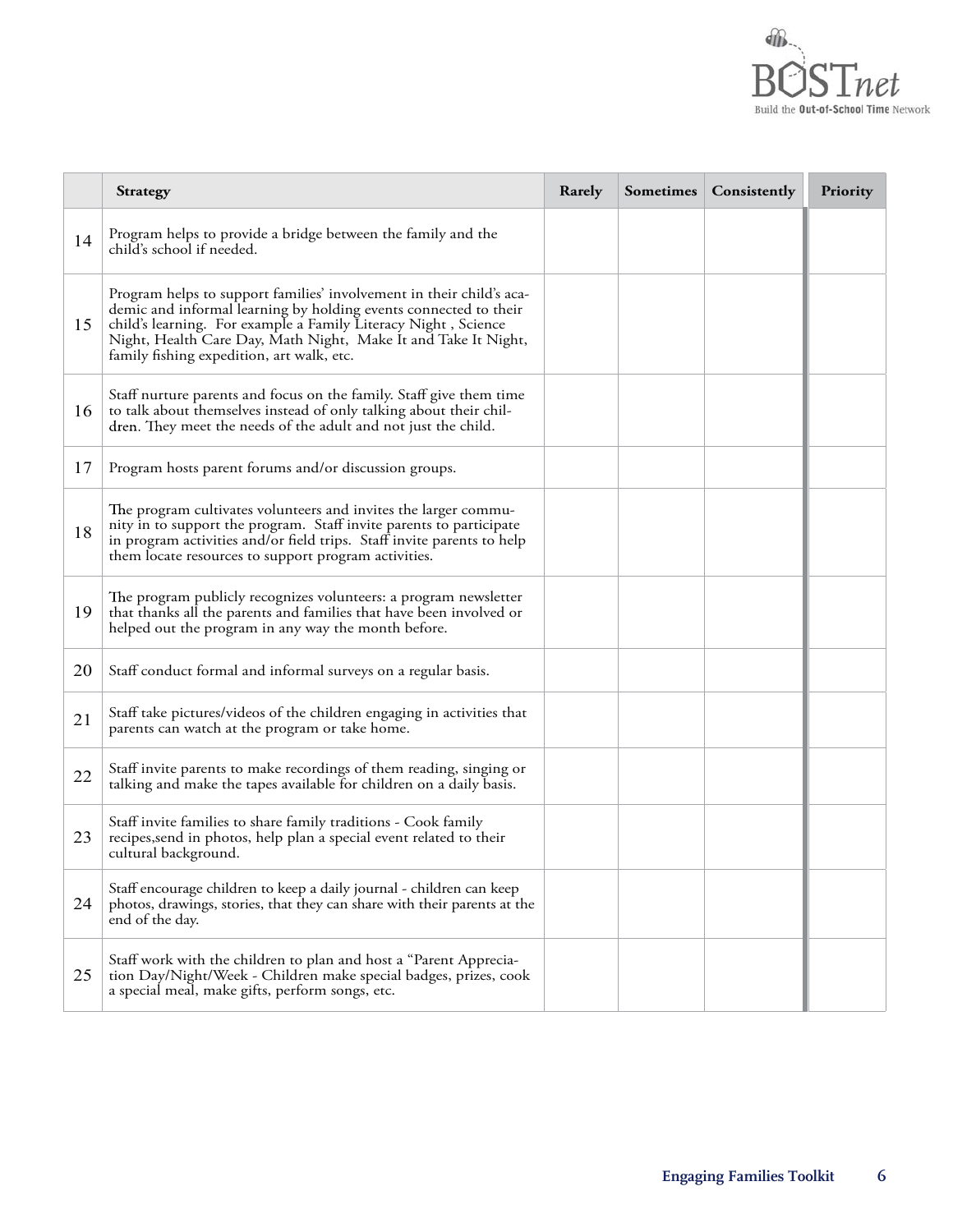

|    | <b>Strategy</b>                                                                                                                                                                                                                                                                                                           | Rarely | <b>Sometimes</b> | Consistently | Priority |
|----|---------------------------------------------------------------------------------------------------------------------------------------------------------------------------------------------------------------------------------------------------------------------------------------------------------------------------|--------|------------------|--------------|----------|
| 14 | Program helps to provide a bridge between the family and the<br>child's school if needed.                                                                                                                                                                                                                                 |        |                  |              |          |
| 15 | Program helps to support families' involvement in their child's aca-<br>demic and informal learning by holding events connected to their<br>child's learning. For example a Family Literacy Night, Science<br>Night, Health Care Day, Math Night, Make It and Take It Night,<br>family fishing expedition, art walk, etc. |        |                  |              |          |
| 16 | Staff nurture parents and focus on the family. Staff give them time<br>to talk about themselves instead of only talking about their chil-<br>dren. They meet the needs of the adult and not just the child.                                                                                                               |        |                  |              |          |
| 17 | Program hosts parent forums and/or discussion groups.                                                                                                                                                                                                                                                                     |        |                  |              |          |
| 18 | The program cultivates volunteers and invites the larger commu-<br>nity in to support the program. Staff invite parents to participate<br>in program activities and/or field trips. Staff invite parents to help<br>them locate resources to support program activities.                                                  |        |                  |              |          |
| 19 | The program publicly recognizes volunteers: a program newsletter<br>that thanks all the parents and families that have been involved or<br>helped out the program in any way the month before.                                                                                                                            |        |                  |              |          |
| 20 | Staff conduct formal and informal surveys on a regular basis.                                                                                                                                                                                                                                                             |        |                  |              |          |
| 21 | Staff take pictures/videos of the children engaging in activities that<br>parents can watch at the program or take home.                                                                                                                                                                                                  |        |                  |              |          |
| 22 | Staff invite parents to make recordings of them reading, singing or<br>talking and make the tapes available for children on a daily basis.                                                                                                                                                                                |        |                  |              |          |
| 23 | Staff invite families to share family traditions - Cook family<br>recipes, send in photos, help plan a special event related to their<br>cultural background.                                                                                                                                                             |        |                  |              |          |
| 24 | Staff encourage children to keep a daily journal - children can keep<br>photos, drawings, stories, that they can share with their parents at the<br>end of the day.                                                                                                                                                       |        |                  |              |          |
| 25 | Staff work with the children to plan and host a "Parent Apprecia-<br>tion Day/Night/Week - Children make special badges, prizes, cook<br>a special meal, make gifts, perform songs, etc.                                                                                                                                  |        |                  |              |          |